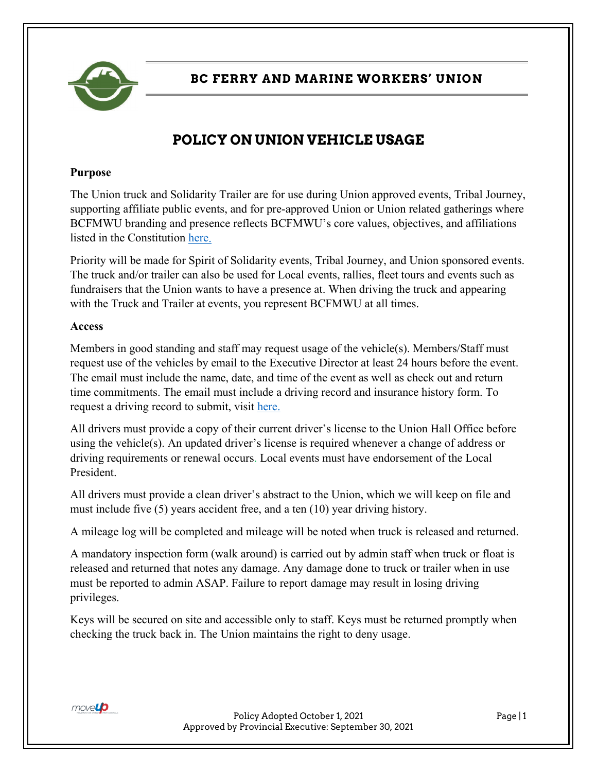

**BC FERRY AND MARINE WORKERS' UNION**

# **POLICY ON UNION VEHICLE USAGE**

#### **Purpose**

The Union truck and Solidarity Trailer are for use during Union approved events, Tribal Journey, supporting affiliate public events, and for pre-approved Union or Union related gatherings where BCFMWU branding and presence reflects BCFMWU's core values, objectives, and affiliations listed in the Constitution [here.](https://bcfmwu.com/wp-content/uploads/2019/06/constitution_2018.pdf)

Priority will be made for Spirit of Solidarity events, Tribal Journey, and Union sponsored events. The truck and/or trailer can also be used for Local events, rallies, fleet tours and events such as fundraisers that the Union wants to have a presence at. When driving the truck and appearing with the Truck and Trailer at events, you represent BCFMWU at all times.

#### **Access**

Members in good standing and staff may request usage of the vehicle(s). Members/Staff must request use of the vehicles by email to the Executive Director at least 24 hours before the event. The email must include the name, date, and time of the event as well as check out and return time commitments. The email must include a driving record and insurance history form. To request a driving record to submit, visit [here.](https://onlinebusiness.icbc.com/clio/)

All drivers must provide a copy of their current driver's license to the Union Hall Office before using the vehicle(s). An updated driver's license is required whenever a change of address or driving requirements or renewal occurs. Local events must have endorsement of the Local President.

All drivers must provide a clean driver's abstract to the Union, which we will keep on file and must include five (5) years accident free, and a ten (10) year driving history.

A mileage log will be completed and mileage will be noted when truck is released and returned.

A mandatory inspection form (walk around) is carried out by admin staff when truck or float is released and returned that notes any damage. Any damage done to truck or trailer when in use must be reported to admin ASAP. Failure to report damage may result in losing driving privileges.

Keys will be secured on site and accessible only to staff. Keys must be returned promptly when checking the truck back in. The Union maintains the right to deny usage.



Policy Adopted October 1, 2021 Page | 1 Approved by Provincial Executive: September 30, 2021